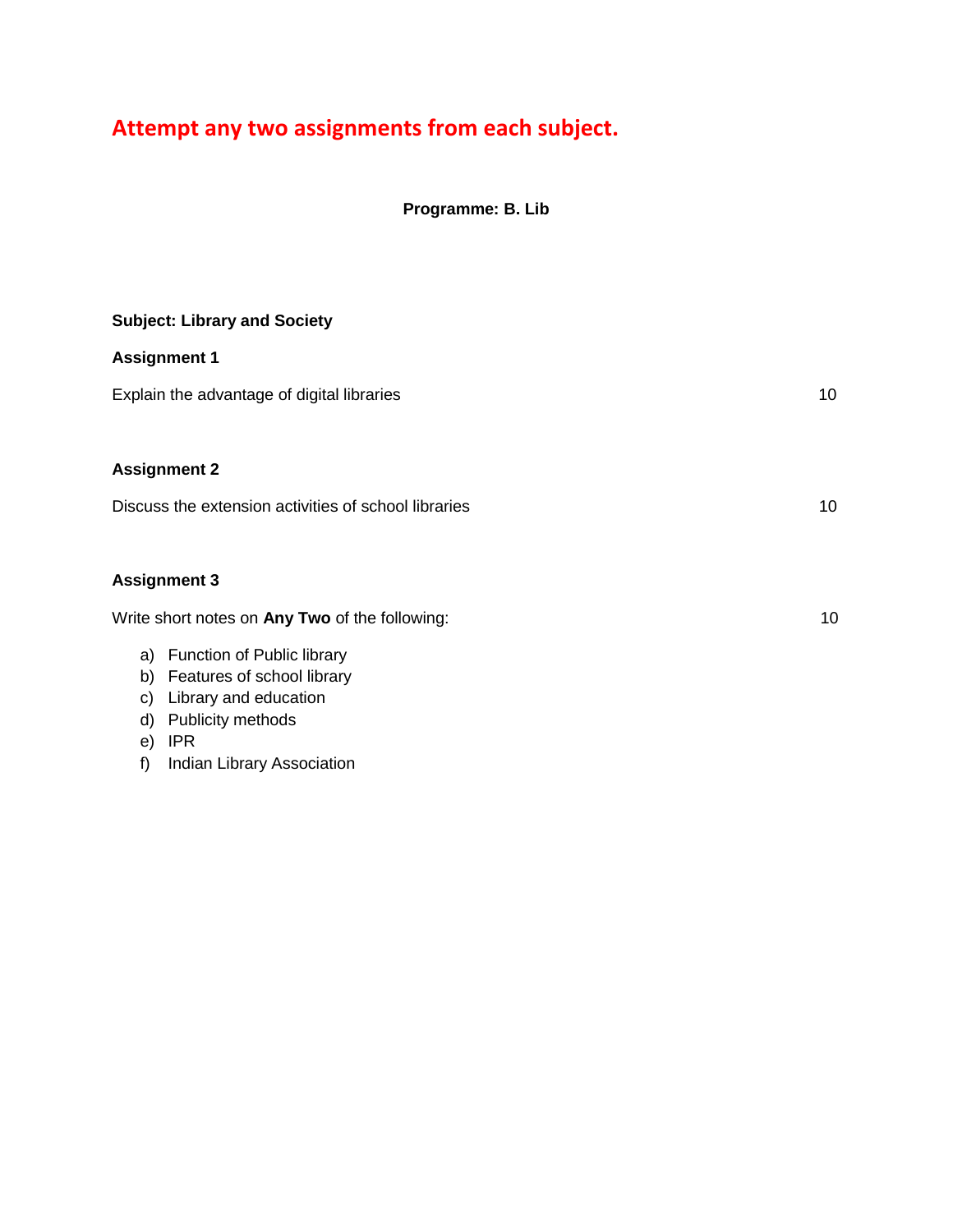# **Attempt any two assignments from each subject.**

**Programme: B. Lib**

| <b>Subject: Library and Society</b>                  |    |
|------------------------------------------------------|----|
| <b>Assignment 1</b>                                  |    |
| Explain the advantage of digital libraries           | 10 |
|                                                      |    |
| <b>Assignment 2</b>                                  |    |
| Discuss the extension activities of school libraries | 10 |
|                                                      |    |
| <b>Assignment 3</b>                                  |    |
| Write short notes on Any Two of the following:       | 10 |
| a) Function of Public library                        |    |
| b) Features of school library                        |    |
| Library and education<br>C)                          |    |
| Publicity methods<br>d)                              |    |
| <b>IPR</b><br>e)                                     |    |

f) Indian Library Association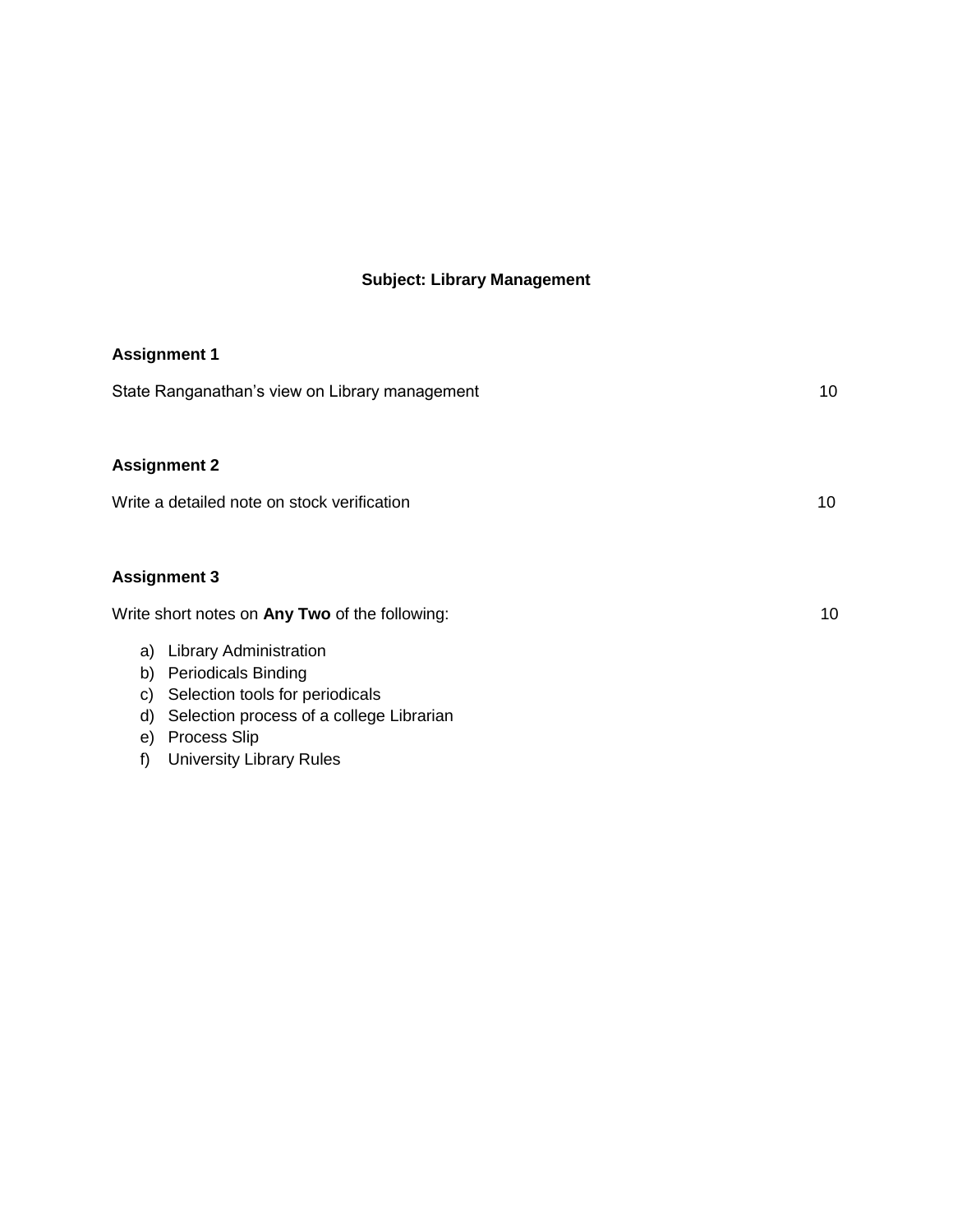# **Subject: Library Management**

| <b>Assignment 1</b>                                                                                                                                                                                                                                                                        |    |
|--------------------------------------------------------------------------------------------------------------------------------------------------------------------------------------------------------------------------------------------------------------------------------------------|----|
| State Ranganathan's view on Library management                                                                                                                                                                                                                                             | 10 |
| <b>Assignment 2</b>                                                                                                                                                                                                                                                                        |    |
| Write a detailed note on stock verification                                                                                                                                                                                                                                                | 10 |
| <b>Assignment 3</b>                                                                                                                                                                                                                                                                        |    |
| Write short notes on Any Two of the following:<br><b>Library Administration</b><br>a)<br><b>Periodicals Binding</b><br>b)<br>Selection tools for periodicals<br>C)<br>Selection process of a college Librarian<br>d)<br><b>Process Slip</b><br>e)<br><b>University Library Rules</b><br>f) | 10 |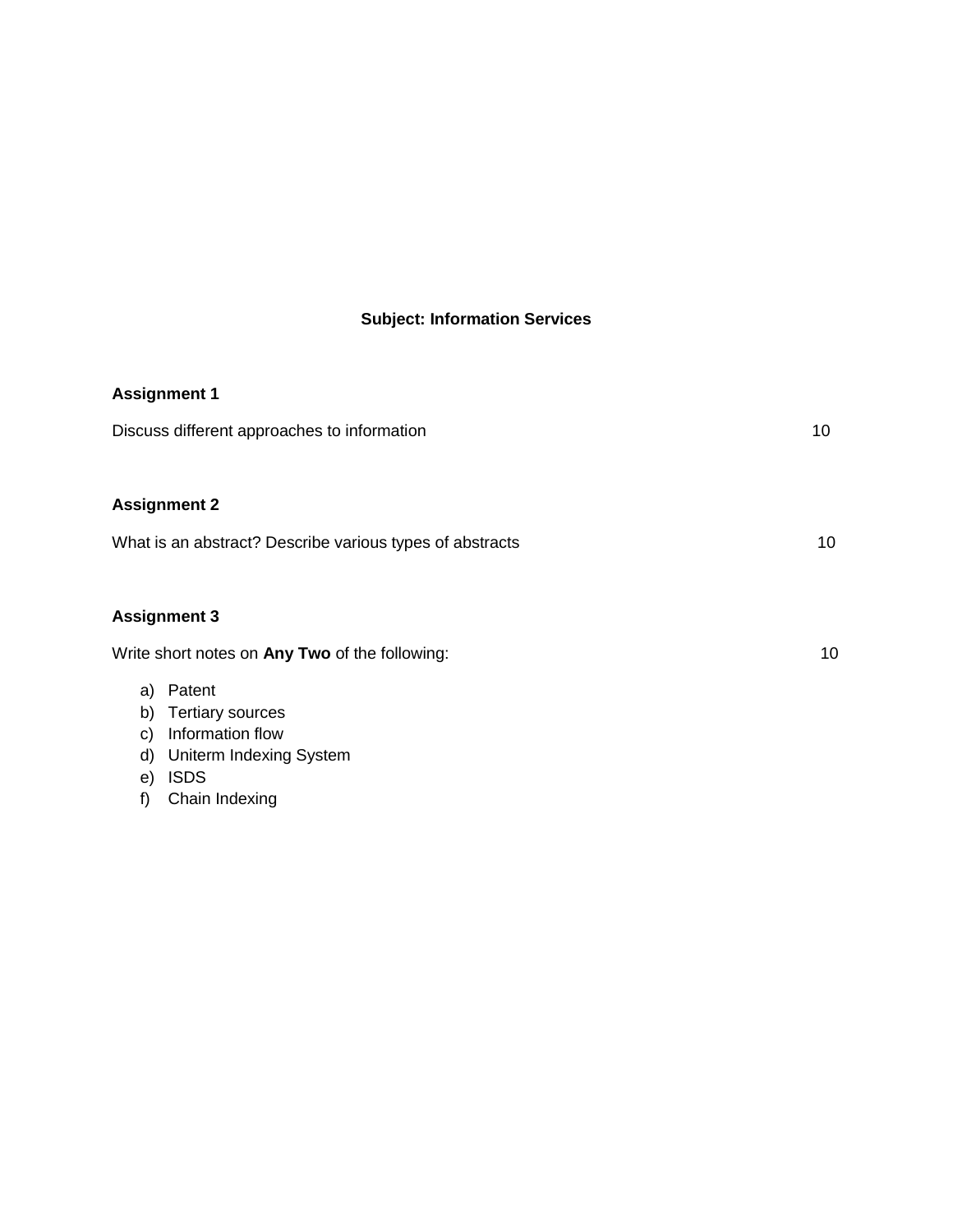# **Subject: Information Services**

| <b>Assignment 1</b>                                                                                                                                             |    |
|-----------------------------------------------------------------------------------------------------------------------------------------------------------------|----|
| Discuss different approaches to information                                                                                                                     | 10 |
|                                                                                                                                                                 |    |
| <b>Assignment 2</b>                                                                                                                                             |    |
| What is an abstract? Describe various types of abstracts                                                                                                        | 10 |
|                                                                                                                                                                 |    |
| <b>Assignment 3</b>                                                                                                                                             |    |
| Write short notes on Any Two of the following:                                                                                                                  | 10 |
| Patent<br>a)<br>b)<br><b>Tertiary sources</b><br>Information flow<br>$\mathbf{C}$<br>Uniterm Indexing System<br>d)<br><b>ISDS</b><br>e)<br>f)<br>Chain Indexing |    |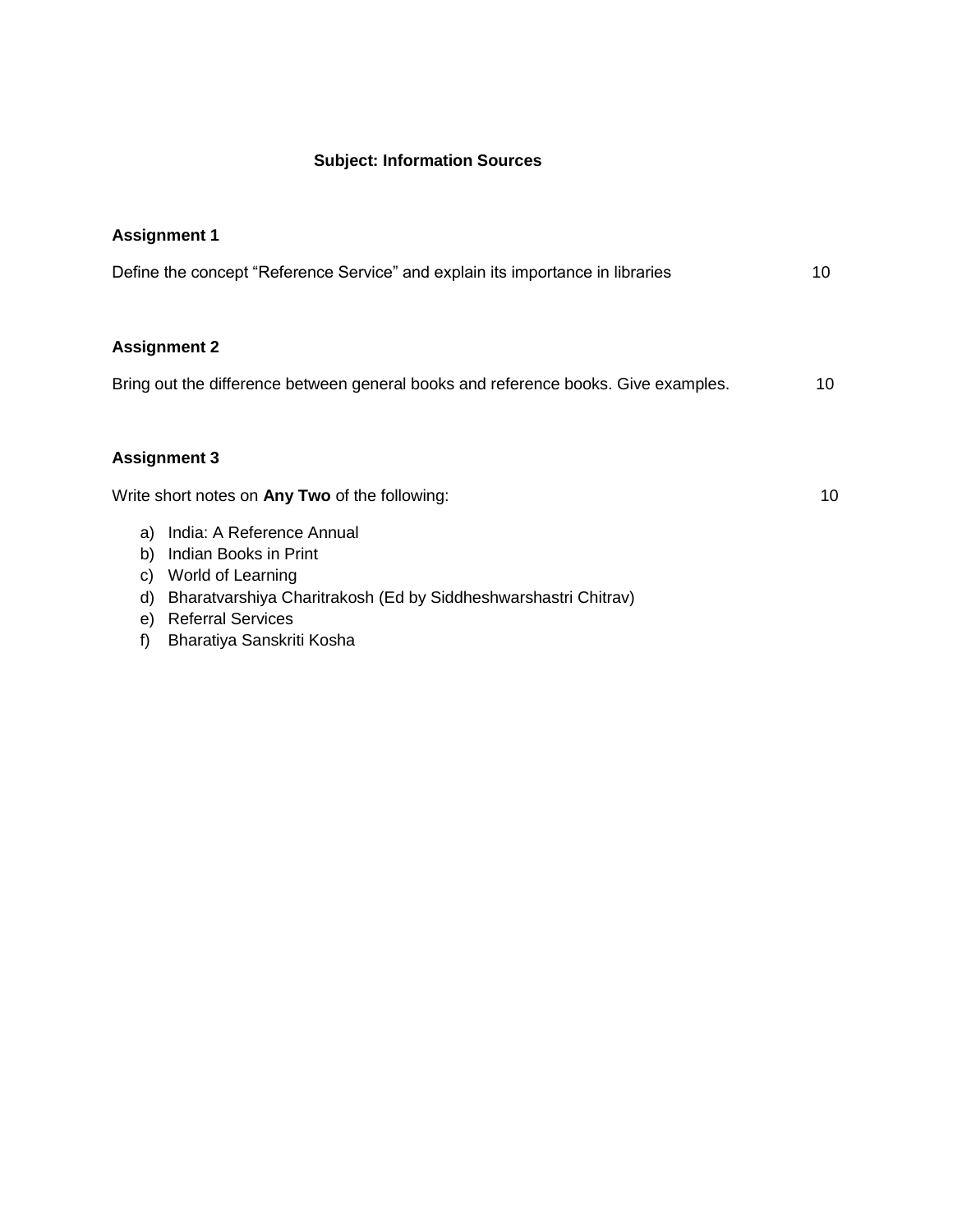#### **Subject: Information Sources**

| <b>Assignment 1</b>                                                                                    |
|--------------------------------------------------------------------------------------------------------|
| Define the concept "Reference Service" and explain its importance in libraries<br>10                   |
|                                                                                                        |
| <b>Assignment 2</b>                                                                                    |
| Bring out the difference between general books and reference books. Give examples.<br>10               |
|                                                                                                        |
| <b>Assignment 3</b>                                                                                    |
| Write short notes on Any Two of the following:<br>10                                                   |
| India: A Reference Annual<br>a)                                                                        |
| Indian Books in Print<br>b)<br>World of Learning<br>C)                                                 |
| Bharatvarshiya Charitrakosh (Ed by Siddheshwarshastri Chitrav)<br>d)<br><b>Referral Services</b><br>e) |
| Bharatiya Sanskriti Kosha<br>f)                                                                        |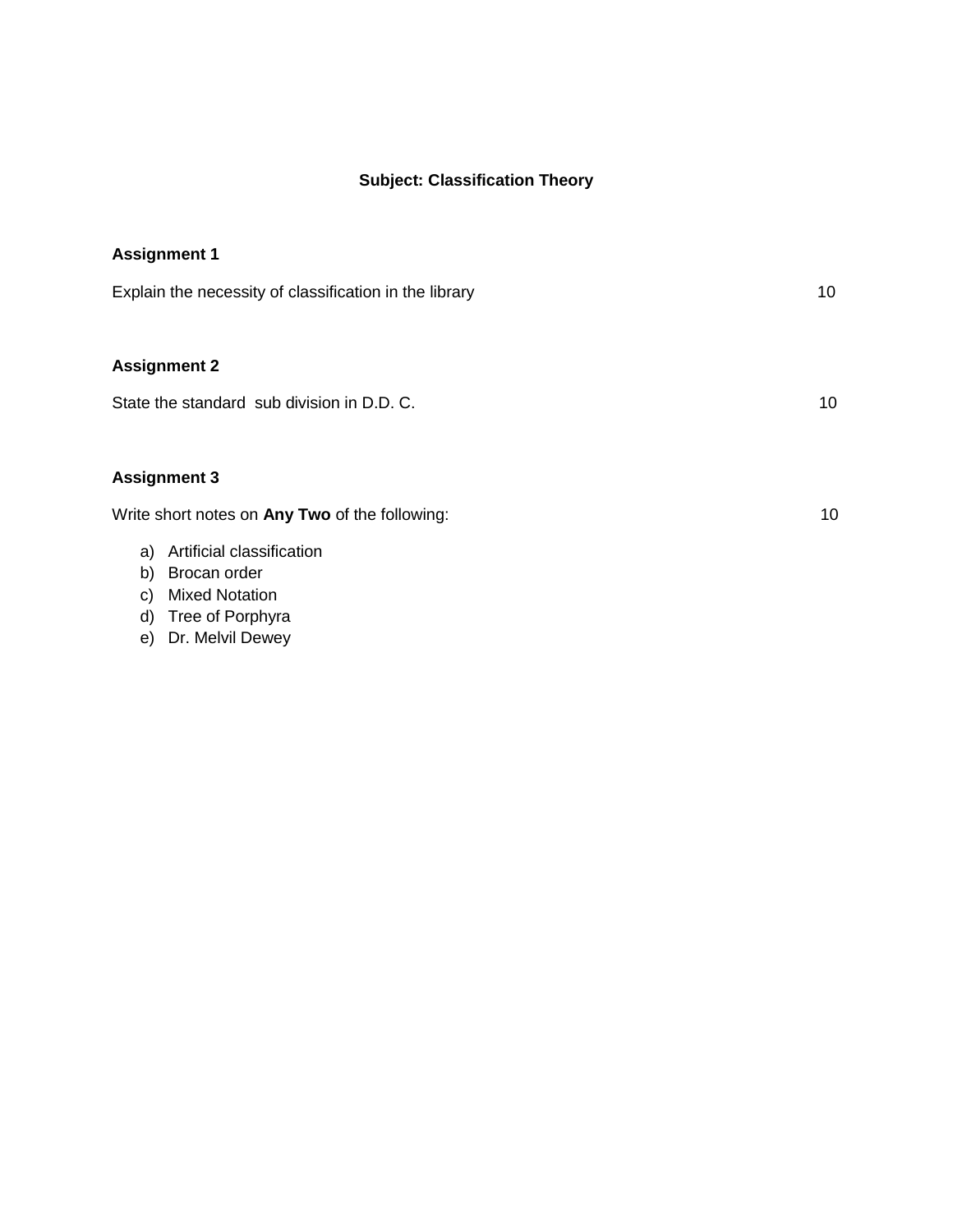## **Subject: Classification Theory**

| <b>Assignment 1</b>                                    |    |
|--------------------------------------------------------|----|
| Explain the necessity of classification in the library | 10 |
|                                                        |    |
| <b>Assignment 2</b>                                    |    |
| State the standard sub division in D.D. C.             | 10 |
|                                                        |    |
| <b>Assignment 3</b>                                    |    |
| Write short notes on Any Two of the following:         | 10 |
| Artificial classification<br>a)<br>Brocan order<br>b)  |    |
|                                                        |    |

- c) Mixed Notation
- d) Tree of Porphyra
- e) Dr. Melvil Dewey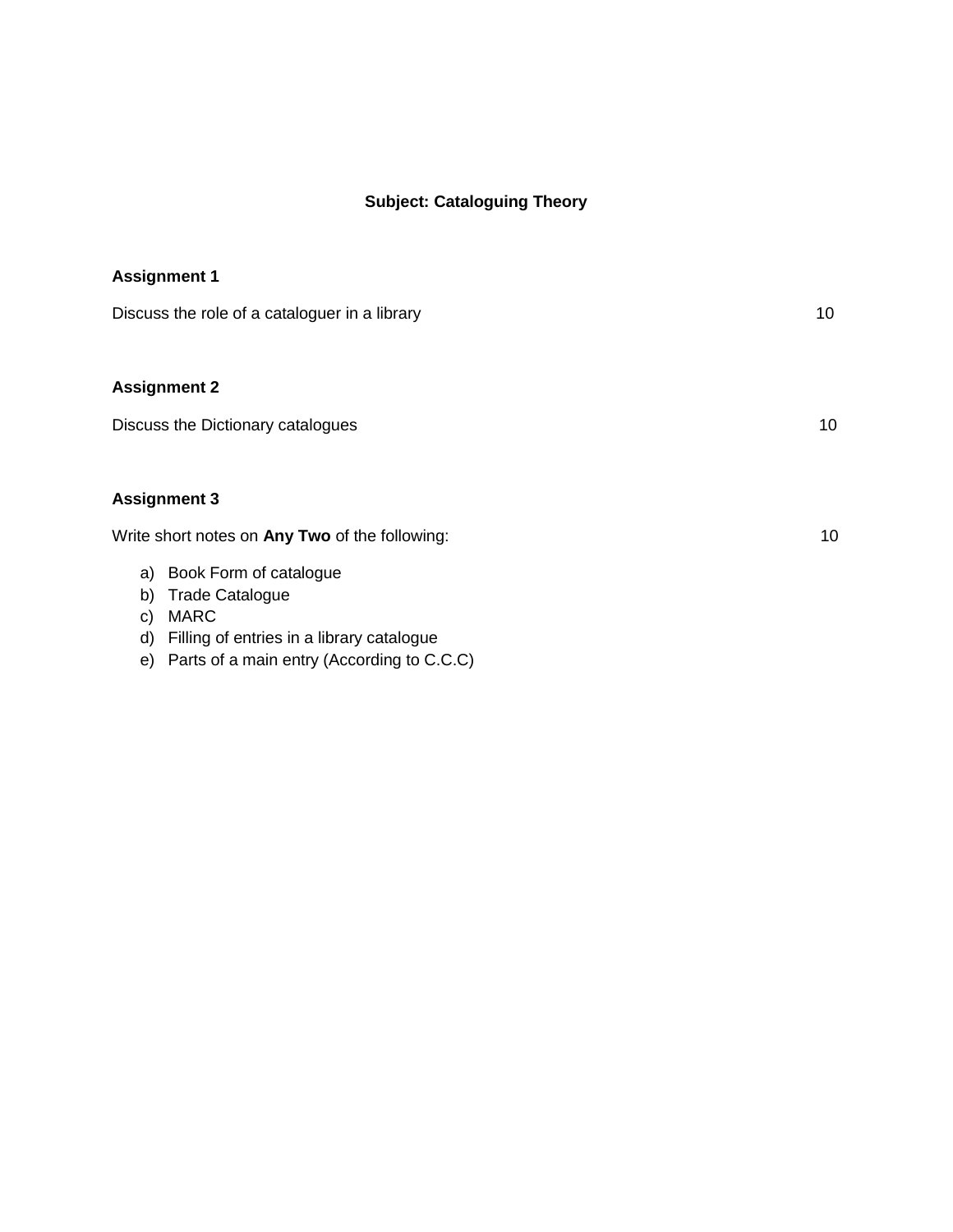## **Subject: Cataloguing Theory**

| <b>Assignment 1</b>                                                                                                                                                                      |    |
|------------------------------------------------------------------------------------------------------------------------------------------------------------------------------------------|----|
| Discuss the role of a cataloguer in a library                                                                                                                                            | 10 |
| <b>Assignment 2</b>                                                                                                                                                                      |    |
| Discuss the Dictionary catalogues                                                                                                                                                        | 10 |
| <b>Assignment 3</b>                                                                                                                                                                      |    |
| Write short notes on Any Two of the following:                                                                                                                                           | 10 |
| Book Form of catalogue<br>a)<br><b>Trade Catalogue</b><br>b)<br><b>MARC</b><br>C)<br>Filling of entries in a library catalogue<br>d)<br>Parts of a main entry (According to C.C.C)<br>e) |    |